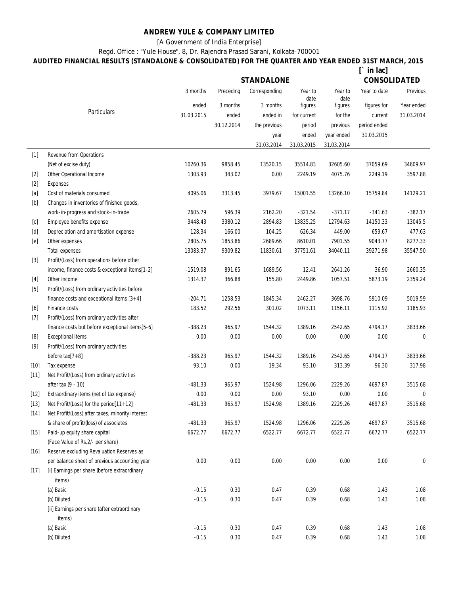## **ANDREW YULE & COMPANY LIMITED**

[A Government of India Enterprise]

Regd. Office : "Yule House", 8, Dr. Rajendra Prasad Sarani, Kolkata-700001

**AUDITED FINANCIAL RESULTS (STANDALONE & CONSOLIDATED) FOR THE QUARTER AND YEAR ENDED 31ST MARCH, 2015**

|                                                                                                                                                                                                                                                                                                                                                                                                                                                                                                                                                                                                                                                                   |                                                        | in lac]           |            |               |                 |                 |                     |            |  |
|-------------------------------------------------------------------------------------------------------------------------------------------------------------------------------------------------------------------------------------------------------------------------------------------------------------------------------------------------------------------------------------------------------------------------------------------------------------------------------------------------------------------------------------------------------------------------------------------------------------------------------------------------------------------|--------------------------------------------------------|-------------------|------------|---------------|-----------------|-----------------|---------------------|------------|--|
|                                                                                                                                                                                                                                                                                                                                                                                                                                                                                                                                                                                                                                                                   |                                                        | <b>STANDALONE</b> |            |               |                 |                 | <b>CONSOLIDATED</b> |            |  |
|                                                                                                                                                                                                                                                                                                                                                                                                                                                                                                                                                                                                                                                                   |                                                        | 3 months          | Preceding  | Corresponding | Year to<br>date | Year to<br>date | Year to date        | Previous   |  |
|                                                                                                                                                                                                                                                                                                                                                                                                                                                                                                                                                                                                                                                                   |                                                        | ended             | 3 months   | 3 months      | figures         | figures         | figures for         | Year ended |  |
|                                                                                                                                                                                                                                                                                                                                                                                                                                                                                                                                                                                                                                                                   | <b>Particulars</b>                                     | 31.03.2015        | ended      | ended in      | for current     | for the         | current             | 31.03.2014 |  |
|                                                                                                                                                                                                                                                                                                                                                                                                                                                                                                                                                                                                                                                                   |                                                        |                   | 30.12.2014 | the previous  | period          | previous        | period ended        |            |  |
|                                                                                                                                                                                                                                                                                                                                                                                                                                                                                                                                                                                                                                                                   |                                                        |                   |            | year          | ended           | year ended      | 31.03.2015          |            |  |
|                                                                                                                                                                                                                                                                                                                                                                                                                                                                                                                                                                                                                                                                   |                                                        |                   |            | 31.03.2014    | 31.03.2015      | 31.03.2014      |                     |            |  |
| $[1]$                                                                                                                                                                                                                                                                                                                                                                                                                                                                                                                                                                                                                                                             | <b>Revenue from Operations</b>                         |                   |            |               |                 |                 |                     |            |  |
|                                                                                                                                                                                                                                                                                                                                                                                                                                                                                                                                                                                                                                                                   | (Net of excise duty)                                   | 10260.36          | 9858.45    | 13520.15      | 35514.83        | 32605.60        | 37059.69            | 34609.97   |  |
| $[2]$                                                                                                                                                                                                                                                                                                                                                                                                                                                                                                                                                                                                                                                             | Other Operational Income                               | 1303.93           | 343.02     | 0.00          | 2249.19         | 4075.76         | 2249.19             | 3597.88    |  |
| $[2]$                                                                                                                                                                                                                                                                                                                                                                                                                                                                                                                                                                                                                                                             | <b>Expenses</b>                                        |                   |            |               |                 |                 |                     |            |  |
| $[{\bf a}]$                                                                                                                                                                                                                                                                                                                                                                                                                                                                                                                                                                                                                                                       | Cost of materials consumed                             | 4095.06           | 3313.45    | 3979.67       | 15001.55        | 13266.10        | 15759.84            | 14129.21   |  |
| $[b] % \begin{center} % \includegraphics[width=\linewidth]{imagesSupplemental_3.png} % \end{center} % \caption { % Our method can be used for the image. % } % \label{fig:example} %$                                                                                                                                                                                                                                                                                                                                                                                                                                                                             | Changes in inventories of finished goods,              |                   |            |               |                 |                 |                     |            |  |
|                                                                                                                                                                                                                                                                                                                                                                                                                                                                                                                                                                                                                                                                   | work-in-progress and stock-in-trade                    | 2605.79           | 596.39     | 2162.20       | $-321.54$       | $-371.17$       | $-341.63$           | $-382.17$  |  |
| [c]                                                                                                                                                                                                                                                                                                                                                                                                                                                                                                                                                                                                                                                               | Employee benefits expense                              | 3448.43           | 3380.12    | 2894.83       | 13835.25        | 12794.63        | 14150.33            | 13045.5    |  |
| $[d] % \begin{center} % \includegraphics[width=\linewidth]{imagesSupplemental_3.png} % \end{center} % \caption { % \textit{Def}_l$ in the image \textit{Def}_l$ in the image \textit{Def}_l$ in the image \textit{Def}_l$ in the image \textit{Def}_l$ in the image \textit{Def}_l$ in the image \textit{Def}_l$ in the image \textit{Def}_l$ in the image \textit{Def}_l$ in the image \textit{Def}_l$ in the image \textit{Def}_l$ in the image \textit{Def}_l$ in the image \textit{Def}_l$ in the image \textit{Def}_l$ in the image \textit{Def}_l$ in the image \textit{Def}_l$ in the image \textit{Def}_l$$                                               | Depreciation and amortisation expense                  | 128.34            | 166.00     | 104.25        | 626.34          | 449.00          | 659.67              | 477.63     |  |
| $[e] % \begin{center} % \includegraphics[width=\linewidth]{imagesSupplemental_3.png} % \end{center} % \caption { % \textit{DefNet} of the \textit{DefNet} dataset. % Note that the \textit{DefNet} and \textit{DefNet} dataset. % Note that the \textit{DefNet} and \textit{DefNet} dataset. % Note that the \textit{DefNet} and \textit{DefNet} dataset. % Note that the \textit{DefNet} and \textit{DefNet} dataset. % Note that the \textit{DefNet} and \textit{DefNet} dataset. % Note that the \textit{DefNet} and \textit{DefNet} dataset. % Note that the \textit{DefNet} and \textit{DefNet} dataset. % Note that the \textit{DefNet} and \textit{DefNet$ | Other expenses                                         | 2805.75           | 1853.86    | 2689.66       | 8610.01         | 7901.55         | 9043.77             | 8277.33    |  |
|                                                                                                                                                                                                                                                                                                                                                                                                                                                                                                                                                                                                                                                                   | <b>Total expenses</b>                                  | 13083.37          | 9309.82    | 11830.61      | 37751.61        | 34040.11        | 39271.98            | 35547.50   |  |
| $[3]$                                                                                                                                                                                                                                                                                                                                                                                                                                                                                                                                                                                                                                                             | Profit/(Loss) from operations before other             |                   |            |               |                 |                 |                     |            |  |
|                                                                                                                                                                                                                                                                                                                                                                                                                                                                                                                                                                                                                                                                   | income, finance costs & exceptional items[1-2]         | $-1519.08$        | 891.65     | 1689.56       | 12.41           | 2641.26         | 36.90               | 2660.35    |  |
| $[4]$                                                                                                                                                                                                                                                                                                                                                                                                                                                                                                                                                                                                                                                             | Other income                                           | 1314.37           | 366.88     | 155.80        | 2449.86         | 1057.51         | 5873.19             | 2359.24    |  |
| $[5]$                                                                                                                                                                                                                                                                                                                                                                                                                                                                                                                                                                                                                                                             | Profit/(Loss) from ordinary activities before          |                   |            |               |                 |                 |                     |            |  |
|                                                                                                                                                                                                                                                                                                                                                                                                                                                                                                                                                                                                                                                                   | finance costs and exceptional items $[3+4]$            | $-204.71$         | 1258.53    | 1845.34       | 2462.27         | 3698.76         | 5910.09             | 5019.59    |  |
| [6]                                                                                                                                                                                                                                                                                                                                                                                                                                                                                                                                                                                                                                                               | Finance costs                                          | 183.52            | 292.56     | 301.02        | 1073.11         | 1156.11         | 1115.92             | 1185.93    |  |
| $[7]$                                                                                                                                                                                                                                                                                                                                                                                                                                                                                                                                                                                                                                                             | Profit/(Loss) from ordinary activities after           |                   |            |               |                 |                 |                     |            |  |
|                                                                                                                                                                                                                                                                                                                                                                                                                                                                                                                                                                                                                                                                   | finance costs but before exceptional items[5-6]        | $-388.23$         | 965.97     | 1544.32       | 1389.16         | 2542.65         | 4794.17             | 3833.66    |  |
|                                                                                                                                                                                                                                                                                                                                                                                                                                                                                                                                                                                                                                                                   | <b>Exceptional items</b>                               | 0.00              | 0.00       | 0.00          | 0.00            | 0.00            | 0.00                | 0          |  |
| $[9]$                                                                                                                                                                                                                                                                                                                                                                                                                                                                                                                                                                                                                                                             | Profit/(Loss) from ordinary activities                 |                   |            |               |                 |                 |                     |            |  |
|                                                                                                                                                                                                                                                                                                                                                                                                                                                                                                                                                                                                                                                                   | before $tax[7+8]$                                      | $-388.23$         | 965.97     | 1544.32       | 1389.16         | 2542.65         | 4794.17             | 3833.66    |  |
| $[10]$                                                                                                                                                                                                                                                                                                                                                                                                                                                                                                                                                                                                                                                            | Tax expense                                            | 93.10             | 0.00       | 19.34         | 93.10           | 313.39          | 96.30               | 317.98     |  |
| $[11]$                                                                                                                                                                                                                                                                                                                                                                                                                                                                                                                                                                                                                                                            | Net Profit/(Loss) from ordinary activities             |                   |            |               |                 |                 |                     |            |  |
|                                                                                                                                                                                                                                                                                                                                                                                                                                                                                                                                                                                                                                                                   | after tax (9 - 10)                                     | $-481.33$         | 965.97     | 1524.98       | 1296.06         | 2229.26         | 4697.87             | 3515.68    |  |
| $[12]$                                                                                                                                                                                                                                                                                                                                                                                                                                                                                                                                                                                                                                                            | Extraordinary items (net of tax expense)               | 0.00              | 0.00       | 0.00          | 93.10           | 0.00            | 0.00                | 0          |  |
| $[13]$                                                                                                                                                                                                                                                                                                                                                                                                                                                                                                                                                                                                                                                            | Net Profit/(Loss) for the period[11+12]                | 481.33            | 965.97     | 1524.98       | 1389.16         | 2229.26         | 4697.87             | 3515.68    |  |
| $[14]$                                                                                                                                                                                                                                                                                                                                                                                                                                                                                                                                                                                                                                                            | Net Profit/(Loss) after taxes, minority interest       |                   |            |               |                 |                 |                     |            |  |
|                                                                                                                                                                                                                                                                                                                                                                                                                                                                                                                                                                                                                                                                   | & share of profit/(loss) of associates                 | $-481.33$         | 965.97     | 1524.98       | 1296.06         | 2229.26         | 4697.87             | 3515.68    |  |
| $[15]$                                                                                                                                                                                                                                                                                                                                                                                                                                                                                                                                                                                                                                                            | Paid-up equity share capital                           | 6672.77           | 6672.77    | 6522.77       | 6672.77         | 6522.77         | 6672.77             | 6522.77    |  |
|                                                                                                                                                                                                                                                                                                                                                                                                                                                                                                                                                                                                                                                                   | (Face Value of Rs.2/- per share)                       |                   |            |               |                 |                 |                     |            |  |
| $[16]$                                                                                                                                                                                                                                                                                                                                                                                                                                                                                                                                                                                                                                                            | Reserve excluding Revaluation Reserves as              |                   |            |               |                 |                 |                     |            |  |
|                                                                                                                                                                                                                                                                                                                                                                                                                                                                                                                                                                                                                                                                   | per balance sheet of previous accounting year          | 0.00              | 0.00       | 0.00          | 0.00            | 0.00            | 0.00                | 0          |  |
| $[17]$                                                                                                                                                                                                                                                                                                                                                                                                                                                                                                                                                                                                                                                            | [i] Earnings per share (before extraordinary<br>items) |                   |            |               |                 |                 |                     |            |  |
|                                                                                                                                                                                                                                                                                                                                                                                                                                                                                                                                                                                                                                                                   | (a) Basic                                              | $-0.15$           | 0.30       | 0.47          | 0.39            | 0.68            | 1.43                | 1.08       |  |
|                                                                                                                                                                                                                                                                                                                                                                                                                                                                                                                                                                                                                                                                   | (b) Diluted                                            | $-0.15$           | 0.30       | 0.47          | 0.39            | 0.68            | 1.43                | 1.08       |  |
|                                                                                                                                                                                                                                                                                                                                                                                                                                                                                                                                                                                                                                                                   | [ii] Earnings per share (after extraordinary<br>items) |                   |            |               |                 |                 |                     |            |  |
|                                                                                                                                                                                                                                                                                                                                                                                                                                                                                                                                                                                                                                                                   | (a) Basic                                              | $-0.15$           | 0.30       | 0.47          | 0.39            | 0.68            | 1.43                | 1.08       |  |
|                                                                                                                                                                                                                                                                                                                                                                                                                                                                                                                                                                                                                                                                   | (b) Diluted                                            | $-0.15$           | 0.30       | 0.47          | 0.39            | 0.68            | 1.43                | 1.08       |  |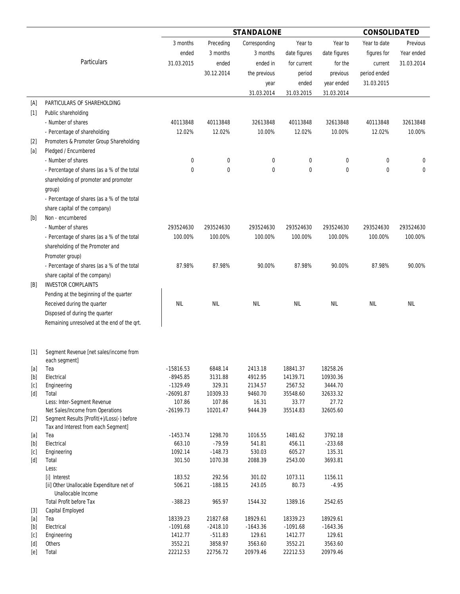|                                                                                                                                                                                                                                                                                                                                                                                                                                                                                                                                                                                                                            |                                                                 | <b>STANDALONE</b>     |                      |                   |                    |                   | <b>CONSOLIDATED</b> |            |  |
|----------------------------------------------------------------------------------------------------------------------------------------------------------------------------------------------------------------------------------------------------------------------------------------------------------------------------------------------------------------------------------------------------------------------------------------------------------------------------------------------------------------------------------------------------------------------------------------------------------------------------|-----------------------------------------------------------------|-----------------------|----------------------|-------------------|--------------------|-------------------|---------------------|------------|--|
|                                                                                                                                                                                                                                                                                                                                                                                                                                                                                                                                                                                                                            |                                                                 | 3 months              | Preceding            | Corresponding     | Year to            | Year to           | Year to date        | Previous   |  |
|                                                                                                                                                                                                                                                                                                                                                                                                                                                                                                                                                                                                                            |                                                                 | ended                 | 3 months             | 3 months          | date figures       | date figures      | figures for         | Year ended |  |
|                                                                                                                                                                                                                                                                                                                                                                                                                                                                                                                                                                                                                            | <b>Particulars</b>                                              | 31.03.2015            | ended                | ended in          | for current        | for the           | current             | 31.03.2014 |  |
|                                                                                                                                                                                                                                                                                                                                                                                                                                                                                                                                                                                                                            |                                                                 |                       | 30.12.2014           | the previous      | period             | previous          | period ended        |            |  |
|                                                                                                                                                                                                                                                                                                                                                                                                                                                                                                                                                                                                                            |                                                                 |                       |                      |                   | ended              | year ended        | 31.03.2015          |            |  |
|                                                                                                                                                                                                                                                                                                                                                                                                                                                                                                                                                                                                                            |                                                                 |                       |                      | year              |                    |                   |                     |            |  |
|                                                                                                                                                                                                                                                                                                                                                                                                                                                                                                                                                                                                                            |                                                                 |                       |                      | 31.03.2014        | 31.03.2015         | 31.03.2014        |                     |            |  |
| [A]                                                                                                                                                                                                                                                                                                                                                                                                                                                                                                                                                                                                                        | PARTICULARS OF SHAREHOLDING                                     |                       |                      |                   |                    |                   |                     |            |  |
| $[1]$                                                                                                                                                                                                                                                                                                                                                                                                                                                                                                                                                                                                                      | Public shareholding                                             |                       |                      |                   |                    |                   |                     |            |  |
|                                                                                                                                                                                                                                                                                                                                                                                                                                                                                                                                                                                                                            | - Number of shares                                              | 40113848              | 40113848             | 32613848          | 40113848           | 32613848          | 40113848            | 32613848   |  |
|                                                                                                                                                                                                                                                                                                                                                                                                                                                                                                                                                                                                                            | - Percentage of shareholding                                    | 12.02%                | 12.02%               | 10.00%            | 12.02%             | 10.00%            | 12.02%              | 10.00%     |  |
| $[2]$                                                                                                                                                                                                                                                                                                                                                                                                                                                                                                                                                                                                                      | Promoters & Promoter Group Shareholding                         |                       |                      |                   |                    |                   |                     |            |  |
| [a]                                                                                                                                                                                                                                                                                                                                                                                                                                                                                                                                                                                                                        | Pledged / Encumbered                                            |                       |                      |                   |                    |                   |                     |            |  |
|                                                                                                                                                                                                                                                                                                                                                                                                                                                                                                                                                                                                                            | - Number of shares                                              | 0                     | 0                    | 0                 | 0                  | 0                 | 0                   | 0          |  |
|                                                                                                                                                                                                                                                                                                                                                                                                                                                                                                                                                                                                                            | - Percentage of shares (as a % of the total                     | 0                     | 0                    | 0                 | 0                  | 0                 | 0                   | 0          |  |
|                                                                                                                                                                                                                                                                                                                                                                                                                                                                                                                                                                                                                            | shareholding of promoter and promoter                           |                       |                      |                   |                    |                   |                     |            |  |
|                                                                                                                                                                                                                                                                                                                                                                                                                                                                                                                                                                                                                            | group)                                                          |                       |                      |                   |                    |                   |                     |            |  |
|                                                                                                                                                                                                                                                                                                                                                                                                                                                                                                                                                                                                                            | - Percentage of shares (as a % of the total                     |                       |                      |                   |                    |                   |                     |            |  |
|                                                                                                                                                                                                                                                                                                                                                                                                                                                                                                                                                                                                                            | share capital of the company)                                   |                       |                      |                   |                    |                   |                     |            |  |
| [b]                                                                                                                                                                                                                                                                                                                                                                                                                                                                                                                                                                                                                        | Non - encumbered                                                |                       |                      |                   |                    |                   |                     |            |  |
|                                                                                                                                                                                                                                                                                                                                                                                                                                                                                                                                                                                                                            | - Number of shares                                              | 293524630             | 293524630            | 293524630         | 293524630          | 293524630         | 293524630           | 293524630  |  |
|                                                                                                                                                                                                                                                                                                                                                                                                                                                                                                                                                                                                                            | - Percentage of shares (as a % of the total                     | 100.00%               | 100.00%              | 100.00%           | 100.00%            | 100.00%           | 100.00%             | 100.00%    |  |
|                                                                                                                                                                                                                                                                                                                                                                                                                                                                                                                                                                                                                            | shareholding of the Promoter and                                |                       |                      |                   |                    |                   |                     |            |  |
|                                                                                                                                                                                                                                                                                                                                                                                                                                                                                                                                                                                                                            | Promoter group)                                                 |                       |                      |                   |                    |                   |                     |            |  |
|                                                                                                                                                                                                                                                                                                                                                                                                                                                                                                                                                                                                                            | - Percentage of shares (as a % of the total                     | 87.98%                | 87.98%               | 90.00%            | 87.98%             | 90.00%            | 87.98%              | 90.00%     |  |
|                                                                                                                                                                                                                                                                                                                                                                                                                                                                                                                                                                                                                            | share capital of the company)                                   |                       |                      |                   |                    |                   |                     |            |  |
| [B]                                                                                                                                                                                                                                                                                                                                                                                                                                                                                                                                                                                                                        | <b>INVESTOR COMPLAINTS</b>                                      |                       |                      |                   |                    |                   |                     |            |  |
|                                                                                                                                                                                                                                                                                                                                                                                                                                                                                                                                                                                                                            |                                                                 |                       |                      |                   |                    |                   |                     |            |  |
|                                                                                                                                                                                                                                                                                                                                                                                                                                                                                                                                                                                                                            | Pending at the beginning of the quarter                         |                       |                      |                   |                    |                   |                     |            |  |
|                                                                                                                                                                                                                                                                                                                                                                                                                                                                                                                                                                                                                            | Received during the quarter                                     | <b>NIL</b>            | <b>NIL</b>           | <b>NIL</b>        | NIL                | <b>NIL</b>        | <b>NIL</b>          | <b>NIL</b> |  |
|                                                                                                                                                                                                                                                                                                                                                                                                                                                                                                                                                                                                                            | Disposed of during the quarter                                  |                       |                      |                   |                    |                   |                     |            |  |
|                                                                                                                                                                                                                                                                                                                                                                                                                                                                                                                                                                                                                            | Remaining unresolved at the end of the qrt.                     |                       |                      |                   |                    |                   |                     |            |  |
| $[1]$                                                                                                                                                                                                                                                                                                                                                                                                                                                                                                                                                                                                                      | Segment Revenue [net sales/income from                          |                       |                      |                   |                    |                   |                     |            |  |
|                                                                                                                                                                                                                                                                                                                                                                                                                                                                                                                                                                                                                            | each segment]                                                   |                       |                      |                   |                    |                   |                     |            |  |
| $[a]$                                                                                                                                                                                                                                                                                                                                                                                                                                                                                                                                                                                                                      | Tea                                                             | $-15816.53$           | 6848.14              | 2413.18           | 18841.37           | 18258.26          |                     |            |  |
| $[b] % \begin{center} % \includegraphics[width=\linewidth]{imagesSupplemental_3.png} % \end{center} % \caption { % \textit{DefNet} of \textit{DefNet} and \textit{DefNet} of \textit{DefNet} and \textit{DefNet} of \textit{DefNet} and \textit{DefNet} of \textit{DefNet} and \textit{DefNet} of \textit{DefNet} and \textit{DefNet} of \textit{DefNet} and \textit{DefNet} of \textit{DefNet} and \textit{DefNet} of \textit{DefNet} and \textit{DefNet} of \textit{DefNet} and \textit{DefNet} of \textit{DefNet} and \textit{DefNet} of \textit{DefNet} and \textit{DefNet} of$                                        | Electrical                                                      | $-8945.85$            | 3131.88              | 4912.95           | 14139.71           | 10930.36          |                     |            |  |
| [c]                                                                                                                                                                                                                                                                                                                                                                                                                                                                                                                                                                                                                        | Engineering                                                     | $-1329.49$            | 329.31               | 2134.57           | 2567.52            | 3444.70           |                     |            |  |
| [d]                                                                                                                                                                                                                                                                                                                                                                                                                                                                                                                                                                                                                        | Total<br>Less: Inter-Segment Revenue                            | $-26091.87$<br>107.86 | 10309.33<br>107.86   | 9460.70<br>16.31  | 35548.60<br>33.77  | 32633.32<br>27.72 |                     |            |  |
|                                                                                                                                                                                                                                                                                                                                                                                                                                                                                                                                                                                                                            | Net Sales/Income from Operations                                | $-26199.73$           | 10201.47             | 9444.39           | 35514.83           | 32605.60          |                     |            |  |
| $[2]$                                                                                                                                                                                                                                                                                                                                                                                                                                                                                                                                                                                                                      | Segment Results [Profit(+)/Loss(-) before                       |                       |                      |                   |                    |                   |                     |            |  |
|                                                                                                                                                                                                                                                                                                                                                                                                                                                                                                                                                                                                                            | Tax and Interest from each Segment]                             |                       |                      |                   |                    |                   |                     |            |  |
| $[a]$                                                                                                                                                                                                                                                                                                                                                                                                                                                                                                                                                                                                                      | Tea                                                             | $-1453.74$            | 1298.70              | 1016.55           | 1481.62            | 3792.18           |                     |            |  |
| $[b] % \begin{center} % \includegraphics[width=\linewidth]{imagesSupplemental_3.png} % \end{center} % \caption { % \textit{DefNet} of \textit{DefNet} and \textit{DefNet} of \textit{DefNet} and \textit{DefNet} of \textit{DefNet} and \textit{DefNet} of \textit{DefNet} and \textit{DefNet} of \textit{DefNet} and \textit{DefNet} of \textit{DefNet} and \textit{DefNet} of \textit{DefNet} and \textit{DefNet} of \textit{DefNet} and \textit{DefNet} of \textit{DefNet} and \textit{DefNet} of \textit{DefNet} and \textit{DefNet} of \textit{DefNet} and \textit{DefNet} of$                                        | Electrical                                                      | 663.10                | $-79.59$             | 541.81            | 456.11             | $-233.68$         |                     |            |  |
| [c]                                                                                                                                                                                                                                                                                                                                                                                                                                                                                                                                                                                                                        | Engineering                                                     | 1092.14               | $-148.73$            | 530.03            | 605.27             | 135.31            |                     |            |  |
| [d]                                                                                                                                                                                                                                                                                                                                                                                                                                                                                                                                                                                                                        | Total<br>Less:                                                  | 301.50                | 1070.38              | 2088.39           | 2543.00            | 3693.81           |                     |            |  |
|                                                                                                                                                                                                                                                                                                                                                                                                                                                                                                                                                                                                                            | [i] Interest                                                    | 183.52                | 292.56               | 301.02            | 1073.11            | 1156.11           |                     |            |  |
|                                                                                                                                                                                                                                                                                                                                                                                                                                                                                                                                                                                                                            | [ii] Other Unallocable Expenditure net of<br>Unallocable Income | 506.21                | $-188.15$            | 243.05            | 80.73              | $-4.95$           |                     |            |  |
|                                                                                                                                                                                                                                                                                                                                                                                                                                                                                                                                                                                                                            |                                                                 | $-388.23$             | 965.97               | 1544.32           | 1389.16            | 2542.65           |                     |            |  |
|                                                                                                                                                                                                                                                                                                                                                                                                                                                                                                                                                                                                                            | <b>Total Profit before Tax</b>                                  |                       |                      |                   |                    |                   |                     |            |  |
| $[3]$                                                                                                                                                                                                                                                                                                                                                                                                                                                                                                                                                                                                                      | <b>Capital Employed</b>                                         |                       |                      |                   |                    |                   |                     |            |  |
| $[{\bf a}]$                                                                                                                                                                                                                                                                                                                                                                                                                                                                                                                                                                                                                | Tea                                                             | 18339.23              | 21827.68             | 18929.61          | 18339.23           | 18929.61          |                     |            |  |
| $[b] % \begin{center} % \includegraphics[width=\linewidth]{imagesSupplemental_3.png} % \end{center} % \caption { % Our method can be used for the use of the image. % } % \label{fig:example} %$                                                                                                                                                                                                                                                                                                                                                                                                                           | Electrical                                                      | $-1091.68$            | $-2418.10$           | $-1643.36$        | $-1091.68$         | $-1643.36$        |                     |            |  |
| [c]<br>$[d] % \begin{center} % \includegraphics[width=\linewidth]{imagesSupplemental_3.png} % \end{center} % \caption { % \textit{Def}_l$ in the image \textit{Def}_l$ in the image \textit{Def}_l$ in the image \textit{Def}_l$ in the image \textit{Def}_l$ in the image \textit{Def}_l$ in the image \textit{Def}_l$ in the image \textit{Def}_l$ in the image \textit{Def}_l$ in the image \textit{Def}_l$ in the image \textit{Def}_l$ in the image \textit{Def}_l$ in the image \textit{Def}_l$ in the image \textit{Def}_l$ in the image \textit{Def}_l$ in the image \textit{Def}_l$ in the image \textit{Def}_l$$ | Engineering<br>Others                                           | 1412.77<br>3552.21    | $-511.83$<br>3858.97 | 129.61<br>3563.60 | 1412.77<br>3552.21 | 129.61<br>3563.60 |                     |            |  |